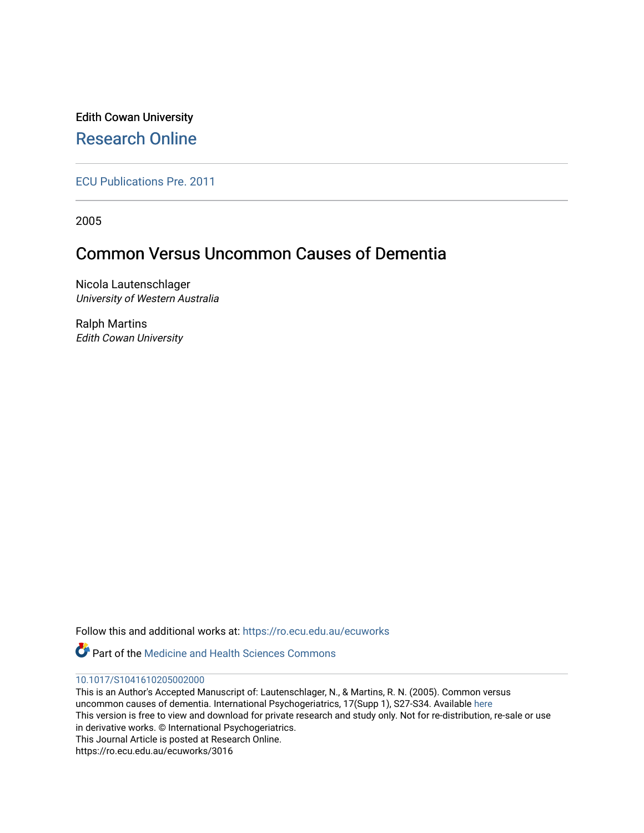Edith Cowan University [Research Online](https://ro.ecu.edu.au/) 

[ECU Publications Pre. 2011](https://ro.ecu.edu.au/ecuworks)

2005

# Common Versus Uncommon Causes of Dementia

Nicola Lautenschlager University of Western Australia

Ralph Martins Edith Cowan University

Follow this and additional works at: [https://ro.ecu.edu.au/ecuworks](https://ro.ecu.edu.au/ecuworks?utm_source=ro.ecu.edu.au%2Fecuworks%2F3016&utm_medium=PDF&utm_campaign=PDFCoverPages) 



#### [10.1017/S1041610205002000](http://dx.doi.org/10.1017/S1041610205002000)

This is an Author's Accepted Manuscript of: Lautenschlager, N., & Martins, R. N. (2005). Common versus uncommon causes of dementia. International Psychogeriatrics, 17(Supp 1), S27-S34. Available [here](http://dx.doi.org/10.1017/S1041610205002000) This version is free to view and download for private research and study only. Not for re-distribution, re-sale or use in derivative works. © International Psychogeriatrics. This Journal Article is posted at Research Online. https://ro.ecu.edu.au/ecuworks/3016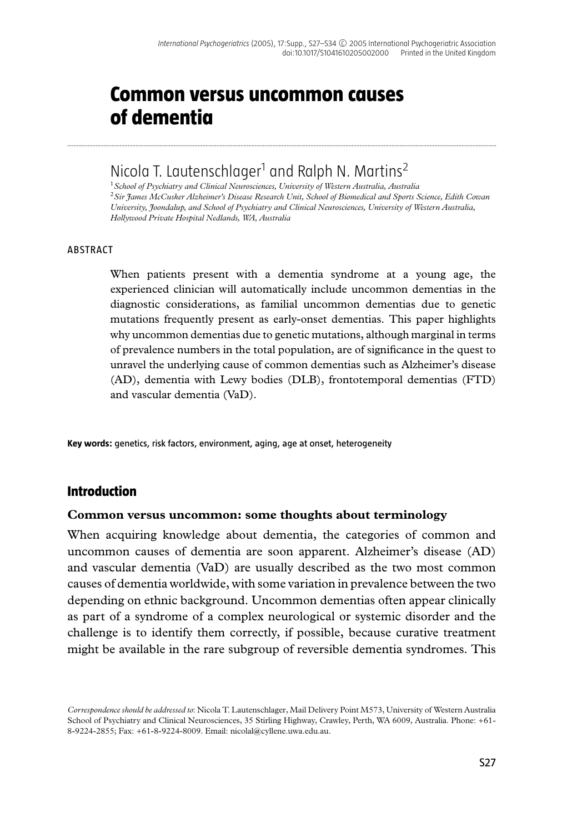# **Common versus uncommon causes of dementia**

## Nicola T. Lautenschlager<sup>1</sup> and Ralph N. Martins<sup>2</sup>

..............................................................................................................................................................................................................................................................................

<sup>1</sup>*School of Psychiatry and Clinical Neurosciences, University of Western Australia, Australia* <sup>2</sup>*Sir James McCusker Alzheimer's Disease Research Unit, School of Biomedical and Sports Science, Edith Cowan University, Joondalup, and School of Psychiatry and Clinical Neurosciences, University of Western Australia, Hollywood Private Hospital Nedlands, WA, Australia*

#### ABSTRACT

When patients present with a dementia syndrome at a young age, the experienced clinician will automatically include uncommon dementias in the diagnostic considerations, as familial uncommon dementias due to genetic mutations frequently present as early-onset dementias. This paper highlights why uncommon dementias due to genetic mutations, although marginal in terms of prevalence numbers in the total population, are of significance in the quest to unravel the underlying cause of common dementias such as Alzheimer's disease (AD), dementia with Lewy bodies (DLB), frontotemporal dementias (FTD) and vascular dementia (VaD).

**Key words:** genetics, risk factors, environment, aging, age at onset, heterogeneity

#### **Introduction**

#### **Common versus uncommon: some thoughts about terminology**

When acquiring knowledge about dementia, the categories of common and uncommon causes of dementia are soon apparent. Alzheimer's disease (AD) and vascular dementia (VaD) are usually described as the two most common causes of dementia worldwide, with some variation in prevalence between the two depending on ethnic background. Uncommon dementias often appear clinically as part of a syndrome of a complex neurological or systemic disorder and the challenge is to identify them correctly, if possible, because curative treatment might be available in the rare subgroup of reversible dementia syndromes. This

*Correspondence should be addressed to*: Nicola T. Lautenschlager, Mail Delivery Point M573, University of Western Australia School of Psychiatry and Clinical Neurosciences, 35 Stirling Highway, Crawley, Perth, WA 6009, Australia. Phone: +61- 8-9224-2855; Fax: +61-8-9224-8009. Email: nicolal@cyllene.uwa.edu.au.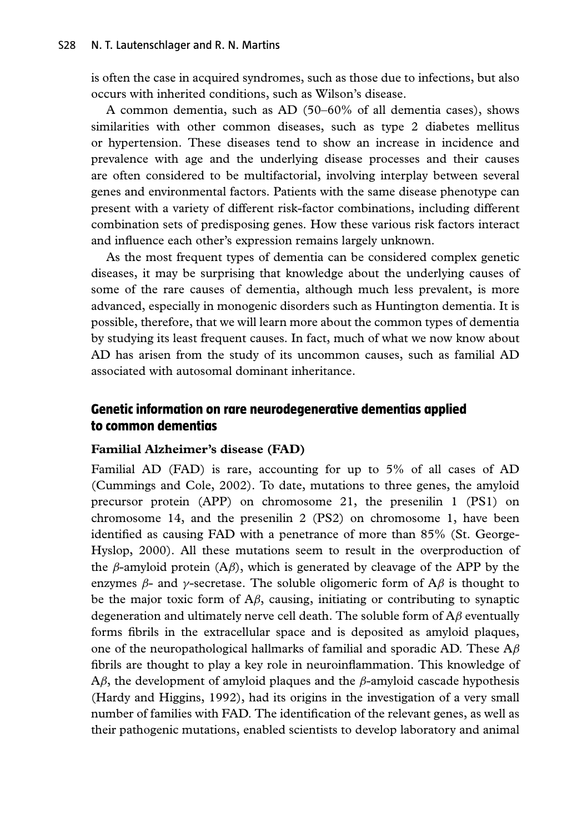is often the case in acquired syndromes, such as those due to infections, but also occurs with inherited conditions, such as Wilson's disease.

A common dementia, such as AD (50–60% of all dementia cases), shows similarities with other common diseases, such as type 2 diabetes mellitus or hypertension. These diseases tend to show an increase in incidence and prevalence with age and the underlying disease processes and their causes are often considered to be multifactorial, involving interplay between several genes and environmental factors. Patients with the same disease phenotype can present with a variety of different risk-factor combinations, including different combination sets of predisposing genes. How these various risk factors interact and influence each other's expression remains largely unknown.

As the most frequent types of dementia can be considered complex genetic diseases, it may be surprising that knowledge about the underlying causes of some of the rare causes of dementia, although much less prevalent, is more advanced, especially in monogenic disorders such as Huntington dementia. It is possible, therefore, that we will learn more about the common types of dementia by studying its least frequent causes. In fact, much of what we now know about AD has arisen from the study of its uncommon causes, such as familial AD associated with autosomal dominant inheritance.

### **Genetic information on rare neurodegenerative dementias applied to common dementias**

#### **Familial Alzheimer's disease (FAD)**

Familial AD (FAD) is rare, accounting for up to 5% of all cases of AD (Cummings and Cole, 2002). To date, mutations to three genes, the amyloid precursor protein (APP) on chromosome 21, the presenilin 1 (PS1) on chromosome 14, and the presenilin 2 (PS2) on chromosome 1, have been identified as causing FAD with a penetrance of more than 85% (St. George-Hyslop, 2000). All these mutations seem to result in the overproduction of the *β*-amyloid protein (A*β*), which is generated by cleavage of the APP by the enzymes  $\beta$ - and  $\gamma$ -secretase. The soluble oligomeric form of A $\beta$  is thought to be the major toxic form of A*β*, causing, initiating or contributing to synaptic degeneration and ultimately nerve cell death. The soluble form of A*β* eventually forms fibrils in the extracellular space and is deposited as amyloid plaques, one of the neuropathological hallmarks of familial and sporadic AD. These A*β* fibrils are thought to play a key role in neuroinflammation. This knowledge of A*β*, the development of amyloid plaques and the *β*-amyloid cascade hypothesis (Hardy and Higgins, 1992), had its origins in the investigation of a very small number of families with FAD. The identification of the relevant genes, as well as their pathogenic mutations, enabled scientists to develop laboratory and animal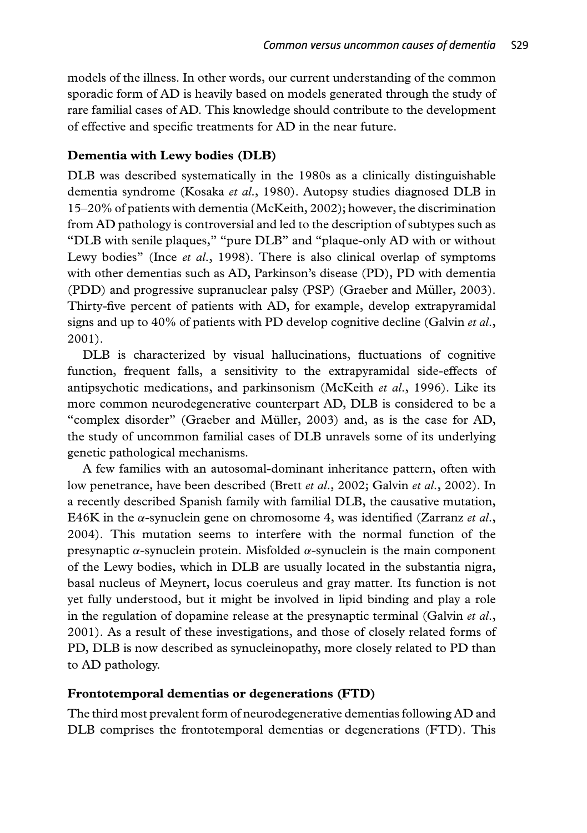models of the illness. In other words, our current understanding of the common sporadic form of AD is heavily based on models generated through the study of rare familial cases of AD. This knowledge should contribute to the development of effective and specific treatments for AD in the near future.

#### **Dementia with Lewy bodies (DLB)**

DLB was described systematically in the 1980s as a clinically distinguishable dementia syndrome (Kosaka *et al*., 1980). Autopsy studies diagnosed DLB in 15–20% of patients with dementia (McKeith, 2002); however, the discrimination from AD pathology is controversial and led to the description of subtypes such as "DLB with senile plaques," "pure DLB" and "plaque-only AD with or without Lewy bodies" (Ince *et al*., 1998). There is also clinical overlap of symptoms with other dementias such as AD, Parkinson's disease (PD), PD with dementia (PDD) and progressive supranuclear palsy (PSP) (Graeber and Müller, 2003). Thirty-five percent of patients with AD, for example, develop extrapyramidal signs and up to 40% of patients with PD develop cognitive decline (Galvin *et al*., 2001).

DLB is characterized by visual hallucinations, fluctuations of cognitive function, frequent falls, a sensitivity to the extrapyramidal side-effects of antipsychotic medications, and parkinsonism (McKeith *et al*., 1996). Like its more common neurodegenerative counterpart AD, DLB is considered to be a "complex disorder" (Graeber and Muller, 2003) and, as is the case for AD, ¨ the study of uncommon familial cases of DLB unravels some of its underlying genetic pathological mechanisms.

A few families with an autosomal-dominant inheritance pattern, often with low penetrance, have been described (Brett *et al*., 2002; Galvin *et al*., 2002). In a recently described Spanish family with familial DLB, the causative mutation, E46K in the *α*-synuclein gene on chromosome 4, was identified (Zarranz *et al*., 2004). This mutation seems to interfere with the normal function of the presynaptic *α*-synuclein protein. Misfolded *α*-synuclein is the main component of the Lewy bodies, which in DLB are usually located in the substantia nigra, basal nucleus of Meynert, locus coeruleus and gray matter. Its function is not yet fully understood, but it might be involved in lipid binding and play a role in the regulation of dopamine release at the presynaptic terminal (Galvin *et al*., 2001). As a result of these investigations, and those of closely related forms of PD, DLB is now described as synucleinopathy, more closely related to PD than to AD pathology.

#### **Frontotemporal dementias or degenerations (FTD)**

The third most prevalent form of neurodegenerative dementias following AD and DLB comprises the frontotemporal dementias or degenerations (FTD). This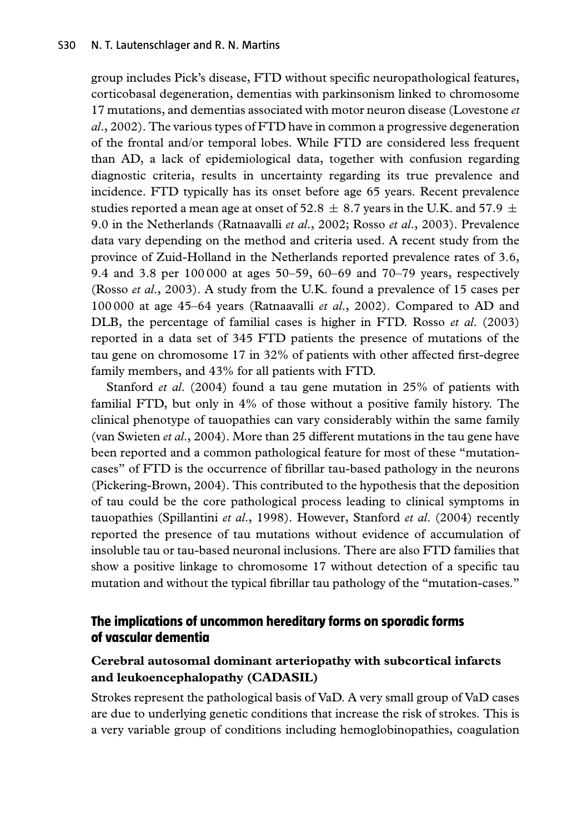group includes Pick's disease, FTD without specific neuropathological features, corticobasal degeneration, dementias with parkinsonism linked to chromosome 17 mutations, and dementias associated with motor neuron disease (Lovestone *et al*., 2002). The various types of FTD have in common a progressive degeneration of the frontal and/or temporal lobes. While FTD are considered less frequent than AD, a lack of epidemiological data, together with confusion regarding diagnostic criteria, results in uncertainty regarding its true prevalence and incidence. FTD typically has its onset before age 65 years. Recent prevalence studies reported a mean age at onset of 52.8  $\pm$  8.7 years in the U.K. and 57.9  $\pm$ 9.0 in the Netherlands (Ratnaavalli *et al*., 2002; Rosso *et al*., 2003). Prevalence data vary depending on the method and criteria used. A recent study from the province of Zuid-Holland in the Netherlands reported prevalence rates of 3.6, 9.4 and 3.8 per 100 000 at ages 50–59, 60–69 and 70–79 years, respectively (Rosso *et al*., 2003). A study from the U.K. found a prevalence of 15 cases per 100 000 at age 45–64 years (Ratnaavalli *et al*., 2002). Compared to AD and DLB, the percentage of familial cases is higher in FTD. Rosso *et al*. (2003) reported in a data set of 345 FTD patients the presence of mutations of the tau gene on chromosome 17 in 32% of patients with other affected first-degree family members, and 43% for all patients with FTD.

Stanford *et al*. (2004) found a tau gene mutation in 25% of patients with familial FTD, but only in 4% of those without a positive family history. The clinical phenotype of tauopathies can vary considerably within the same family (van Swieten *et al*., 2004). More than 25 different mutations in the tau gene have been reported and a common pathological feature for most of these "mutationcases" of FTD is the occurrence of fibrillar tau-based pathology in the neurons (Pickering-Brown, 2004). This contributed to the hypothesis that the deposition of tau could be the core pathological process leading to clinical symptoms in tauopathies (Spillantini *et al*., 1998). However, Stanford *et al*. (2004) recently reported the presence of tau mutations without evidence of accumulation of insoluble tau or tau-based neuronal inclusions. There are also FTD families that show a positive linkage to chromosome 17 without detection of a specific tau mutation and without the typical fibrillar tau pathology of the "mutation-cases."

### **The implications of uncommon hereditary forms on sporadic forms of vascular dementia**

#### **Cerebral autosomal dominant arteriopathy with subcortical infarcts and leukoencephalopathy (CADASIL)**

Strokes represent the pathological basis of VaD. A very small group of VaD cases are due to underlying genetic conditions that increase the risk of strokes. This is a very variable group of conditions including hemoglobinopathies, coagulation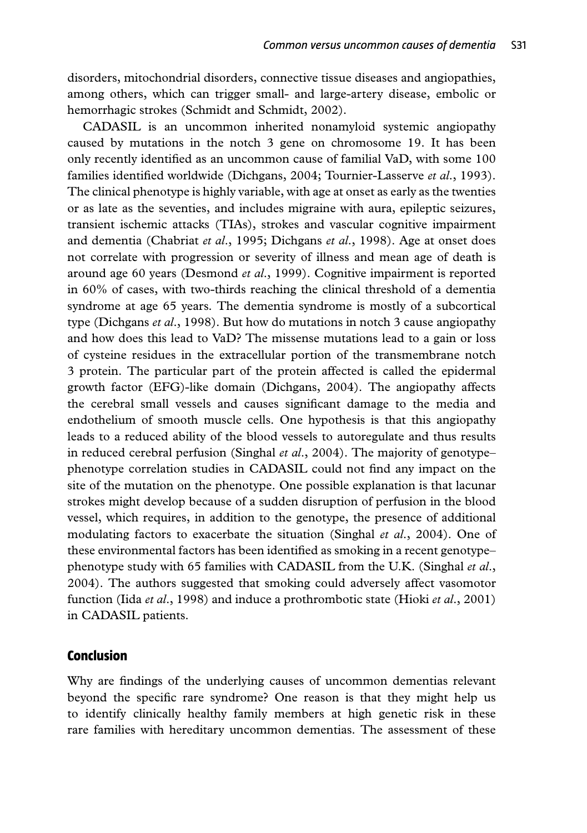disorders, mitochondrial disorders, connective tissue diseases and angiopathies, among others, which can trigger small- and large-artery disease, embolic or hemorrhagic strokes (Schmidt and Schmidt, 2002).

CADASIL is an uncommon inherited nonamyloid systemic angiopathy caused by mutations in the notch 3 gene on chromosome 19. It has been only recently identified as an uncommon cause of familial VaD, with some 100 families identified worldwide (Dichgans, 2004; Tournier-Lasserve *et al*., 1993). The clinical phenotype is highly variable, with age at onset as early as the twenties or as late as the seventies, and includes migraine with aura, epileptic seizures, transient ischemic attacks (TIAs), strokes and vascular cognitive impairment and dementia (Chabriat *et al*., 1995; Dichgans *et al*., 1998). Age at onset does not correlate with progression or severity of illness and mean age of death is around age 60 years (Desmond *et al*., 1999). Cognitive impairment is reported in 60% of cases, with two-thirds reaching the clinical threshold of a dementia syndrome at age 65 years. The dementia syndrome is mostly of a subcortical type (Dichgans *et al*., 1998). But how do mutations in notch 3 cause angiopathy and how does this lead to VaD? The missense mutations lead to a gain or loss of cysteine residues in the extracellular portion of the transmembrane notch 3 protein. The particular part of the protein affected is called the epidermal growth factor (EFG)-like domain (Dichgans, 2004). The angiopathy affects the cerebral small vessels and causes significant damage to the media and endothelium of smooth muscle cells. One hypothesis is that this angiopathy leads to a reduced ability of the blood vessels to autoregulate and thus results in reduced cerebral perfusion (Singhal *et al*., 2004). The majority of genotype– phenotype correlation studies in CADASIL could not find any impact on the site of the mutation on the phenotype. One possible explanation is that lacunar strokes might develop because of a sudden disruption of perfusion in the blood vessel, which requires, in addition to the genotype, the presence of additional modulating factors to exacerbate the situation (Singhal *et al*., 2004). One of these environmental factors has been identified as smoking in a recent genotype– phenotype study with 65 families with CADASIL from the U.K. (Singhal *et al*., 2004). The authors suggested that smoking could adversely affect vasomotor function (Iida *et al*., 1998) and induce a prothrombotic state (Hioki *et al*., 2001) in CADASIL patients.

#### **Conclusion**

Why are findings of the underlying causes of uncommon dementias relevant beyond the specific rare syndrome? One reason is that they might help us to identify clinically healthy family members at high genetic risk in these rare families with hereditary uncommon dementias. The assessment of these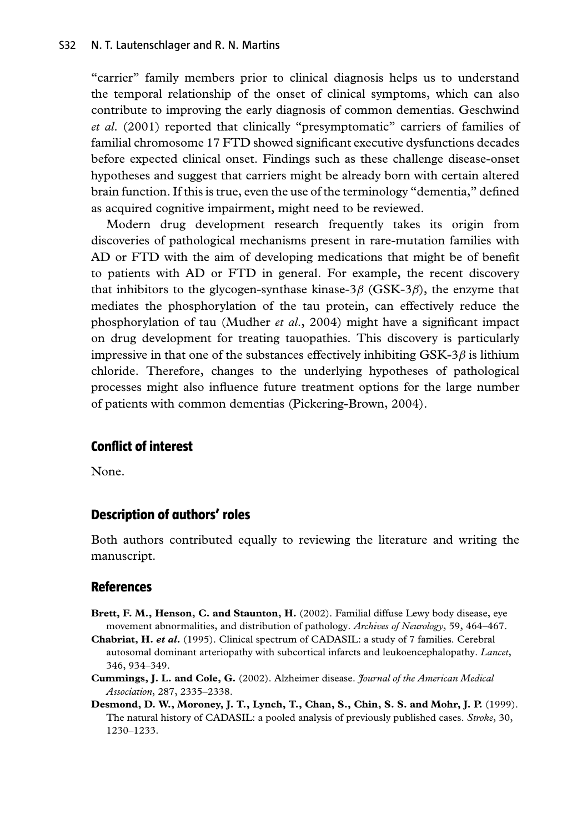"carrier" family members prior to clinical diagnosis helps us to understand the temporal relationship of the onset of clinical symptoms, which can also contribute to improving the early diagnosis of common dementias. Geschwind *et al*. (2001) reported that clinically "presymptomatic" carriers of families of familial chromosome 17 FTD showed significant executive dysfunctions decades before expected clinical onset. Findings such as these challenge disease-onset hypotheses and suggest that carriers might be already born with certain altered brain function. If this is true, even the use of the terminology "dementia," defined as acquired cognitive impairment, might need to be reviewed.

Modern drug development research frequently takes its origin from discoveries of pathological mechanisms present in rare-mutation families with AD or FTD with the aim of developing medications that might be of benefit to patients with AD or FTD in general. For example, the recent discovery that inhibitors to the glycogen-synthase kinase-3*β* (GSK-3*β*), the enzyme that mediates the phosphorylation of the tau protein, can effectively reduce the phosphorylation of tau (Mudher *et al*., 2004) might have a significant impact on drug development for treating tauopathies. This discovery is particularly impressive in that one of the substances effectively inhibiting GSK-3*β* is lithium chloride. Therefore, changes to the underlying hypotheses of pathological processes might also influence future treatment options for the large number of patients with common dementias (Pickering-Brown, 2004).

#### **Conflict of interest**

None.

#### **Description of authors' roles**

Both authors contributed equally to reviewing the literature and writing the manuscript.

#### **References**

- **Brett, F. M., Henson, C. and Staunton, H.** (2002). Familial diffuse Lewy body disease, eye movement abnormalities, and distribution of pathology. *Archives of Neurology*, 59, 464–467.
- **Chabriat, H.** *et al***.** (1995). Clinical spectrum of CADASIL: a study of 7 families. Cerebral autosomal dominant arteriopathy with subcortical infarcts and leukoencephalopathy. *Lancet*, 346, 934–349.
- **Cummings, J. L. and Cole, G.** (2002). Alzheimer disease. *Journal of the American Medical Association*, 287, 2335–2338.
- **Desmond, D. W., Moroney, J. T., Lynch, T., Chan, S., Chin, S. S. and Mohr, J. P.** (1999). The natural history of CADASIL: a pooled analysis of previously published cases. *Stroke*, 30, 1230–1233.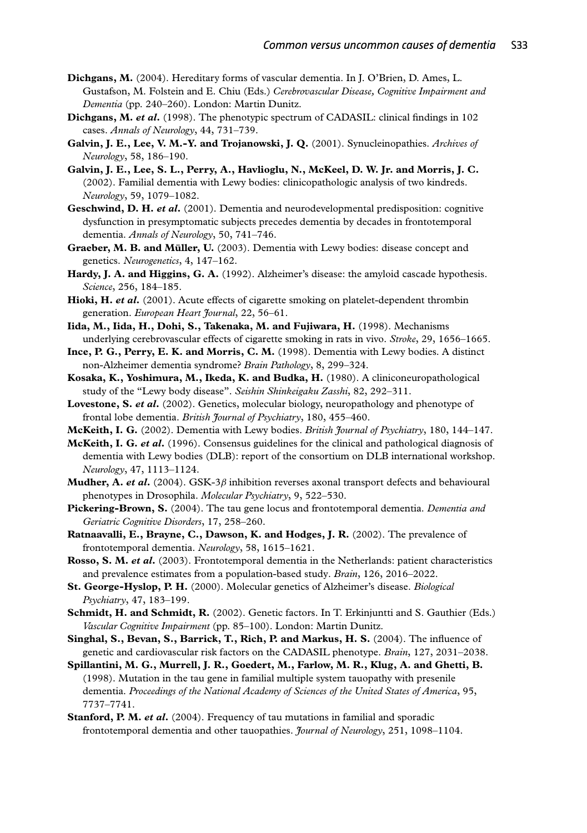- **Dichgans, M.** (2004). Hereditary forms of vascular dementia. In J. O'Brien, D. Ames, L. Gustafson, M. Folstein and E. Chiu (Eds.) *Cerebrovascular Disease, Cognitive Impairment and Dementia* (pp. 240–260). London: Martin Dunitz.
- **Dichgans, M.** *et al***.** (1998). The phenotypic spectrum of CADASIL: clinical findings in 102 cases. *Annals of Neurology*, 44, 731–739.
- **Galvin, J. E., Lee, V. M.-Y. and Trojanowski, J. Q.** (2001). Synucleinopathies. *Archives of Neurology*, 58, 186–190.
- **Galvin, J. E., Lee, S. L., Perry, A., Havlioglu, N., McKeel, D. W. Jr. and Morris, J. C.** (2002). Familial dementia with Lewy bodies: clinicopathologic analysis of two kindreds. *Neurology*, 59, 1079–1082.
- **Geschwind, D. H.** *et al***.** (2001). Dementia and neurodevelopmental predisposition: cognitive dysfunction in presymptomatic subjects precedes dementia by decades in frontotemporal dementia. *Annals of Neurology*, 50, 741–746.
- **Graeber, M. B. and Muller, U. ¨** (2003). Dementia with Lewy bodies: disease concept and genetics. *Neurogenetics*, 4, 147–162.
- **Hardy, J. A. and Higgins, G. A.** (1992). Alzheimer's disease: the amyloid cascade hypothesis. *Science*, 256, 184–185.
- **Hioki, H.** *et al***.** (2001). Acute effects of cigarette smoking on platelet-dependent thrombin generation. *European Heart Journal*, 22, 56–61.
- **Iida, M., Iida, H., Dohi, S., Takenaka, M. and Fujiwara, H.** (1998). Mechanisms underlying cerebrovascular effects of cigarette smoking in rats in vivo. *Stroke*, 29, 1656–1665.
- **Ince, P. G., Perry, E. K. and Morris, C. M.** (1998). Dementia with Lewy bodies. A distinct non-Alzheimer dementia syndrome? *Brain Pathology*, 8, 299–324.
- **Kosaka, K., Yoshimura, M., Ikeda, K. and Budka, H.** (1980). A cliniconeuropathological study of the "Lewy body disease". *Seishin Shinkeigaku Zasshi*, 82, 292–311.
- **Lovestone, S.** *et al***.** (2002). Genetics, molecular biology, neuropathology and phenotype of frontal lobe dementia. *British Journal of Psychiatry*, 180, 455–460.
- **McKeith, I. G.** (2002). Dementia with Lewy bodies. *British Journal of Psychiatry*, 180, 144–147.
- **McKeith, I. G.** *et al***.** (1996). Consensus guidelines for the clinical and pathological diagnosis of dementia with Lewy bodies (DLB): report of the consortium on DLB international workshop. *Neurology*, 47, 1113–1124.
- **Mudher, A.** *et al***.** (2004). GSK-3*β* inhibition reverses axonal transport defects and behavioural phenotypes in Drosophila. *Molecular Psychiatry*, 9, 522–530.
- **Pickering-Brown, S.** (2004). The tau gene locus and frontotemporal dementia. *Dementia and Geriatric Cognitive Disorders*, 17, 258–260.
- **Ratnaavalli, E., Brayne, C., Dawson, K. and Hodges, J. R.** (2002). The prevalence of frontotemporal dementia. *Neurology*, 58, 1615–1621.
- **Rosso, S. M.** *et al***.** (2003). Frontotemporal dementia in the Netherlands: patient characteristics and prevalence estimates from a population-based study. *Brain*, 126, 2016–2022.
- **St. George-Hyslop, P. H.** (2000). Molecular genetics of Alzheimer's disease. *Biological Psychiatry*, 47, 183–199.
- **Schmidt, H. and Schmidt, R.** (2002). Genetic factors. In T. Erkinjuntti and S. Gauthier (Eds.) *Vascular Cognitive Impairment* (pp. 85–100). London: Martin Dunitz.
- **Singhal, S., Bevan, S., Barrick, T., Rich, P. and Markus, H. S.** (2004). The influence of genetic and cardiovascular risk factors on the CADASIL phenotype. *Brain*, 127, 2031–2038.
- **Spillantini, M. G., Murrell, J. R., Goedert, M., Farlow, M. R., Klug, A. and Ghetti, B.** (1998). Mutation in the tau gene in familial multiple system tauopathy with presenile dementia. *Proceedings of the National Academy of Sciences of the United States of America*, 95, 7737–7741.
- **Stanford, P. M.** *et al***.** (2004). Frequency of tau mutations in familial and sporadic frontotemporal dementia and other tauopathies. *Journal of Neurology*, 251, 1098–1104.